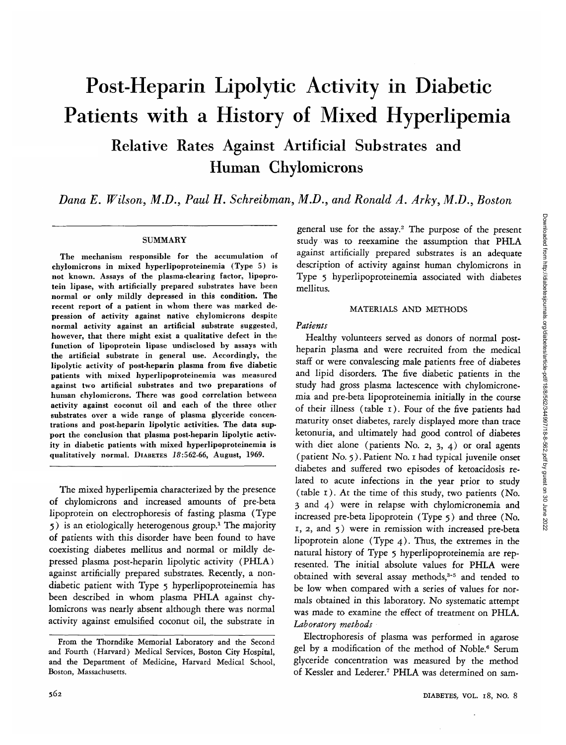# Post-Heparin Lipolytic Activity in Diabetic Patients with a History of Mixed Hyperlipemia

Relative Rates Against Artificial Substrates and Human Chylomicrons

*Dana E. Wilson, M.D., Paul H. Schreibman, M.D., and Ronald A. Arky, M.D., Boston*

#### SUMMARY

The mechanism responsible for the accumulation of chylomicrons in mixed hyperlipoproteinemia (Type 5) is not known. Assays of the plasma-clearing factor, lipoprotein lipase, with artificially prepared substrates have been normal or only mildly depressed in this condition. The recent report of a patient in whom there was marked depression of activity against native chylomicrons despite normal activity against an artificial substrate suggested, however, that there might exist a qualitative defect in the function of lipoprotein lipase undisclosed by assays with the artificial substrate in general use. Accordingly, the lipolytic activity of post-heparin plasma from five diabetic patients with mixed hyperlipoproteinemia was measured against two artificial substrates and two preparations of human chylomicrons. There was good correlation between activity against coconut oil and each of the three other substrates over a wide range of plasma glyceride concentrations and post-heparin lipolytic activities. The data support the conclusion that plasma post-heparin lipolytic activity in diabetic patients with mixed hyperlipoproteinemia is qualitatively normal. DIABETES 18:562-66, August, 1969.

The mixed hyperlipemia characterized by the presence of chylomicrons and increased amounts of pre-beta lipoprotein on electrophoresis of fasting plasma (Type 5) is an etiologically heterogenous group.<sup>1</sup> The majority of patients with this disorder have been found to have coexisting diabetes mellitus and normal or mildly depressed plasma post-heparin lipolytic activity (PHLA) against artificially prepared substrates. Recently, a nondiabetic patient with Type 5 hyperlipoproteinemia has been described in whom plasma PHLA against chylomicrons was nearly absent although there was normal activity against emulsified coconut oil, the substrate in

general use for the assay.<sup>2</sup> The purpose of the present study was to reexamine the assumption that PHLA against artificially prepared substrates is an adequate description of activity against human chylomicrons in Type 5 hyperlipoproteinemia associated with diabetes mellitus.

# MATERIALS AND METHODS

# *Patients*

Healthy volunteers served as donors of normal postheparin plasma and were recruited from the medical staff or were convalescing male patients free of diabetes and lipid disorders. The five diabetic patients in the study had gross plasma lactescence with chylomicronemia and pre-beta lipoproteinemia initially in the course of their illness (table 1). Four of the five patients had maturity onset diabetes, rarely displayed more than trace ketonuria, and ultimately had good control of diabetes with diet alone (patients No. 2,  $3$ ,  $4$ ) or oral agents (patient No. 5). Patient No. 1 had typical juvenile onset diabetes and suffered two episodes of ketoacidosis related to acute infections in the year prior to study (table 1). At the time of this study, two patients (No. 3 and 4) were in relapse with chylomicronemia and increased pre-beta lipoprotein (Type 5) and three (No. 1, 2, and 5) were in remission with increased pre-beta lipoprotein alone (Type 4). Thus, the extremes in the natural history of Type 5 hyperlipoproteinemia are represented. The initial absolute values for PHLA were obtained with several assay methods,<sup>3-5</sup> and tended to be low when compared with a series of values for normals obtained in this laboratory. No systematic attempt was made to examine the effect of treatment on PHLA. *Laboratory methods*

Electrophoresis of plasma was performed in agarose gel by a modification of the method of Noble.<sup>6</sup> Serum glyceride concentration was measured by the method of Kessler and Lederer.<sup>7</sup> PHLA was determined on sam-

From the Thorndike Memorial Laboratory and the Second and Fourth (Harvard) Medical Services, Boston City Hospital, and the Department of Medicine, Harvard Medical School, Boston, Massachusetts.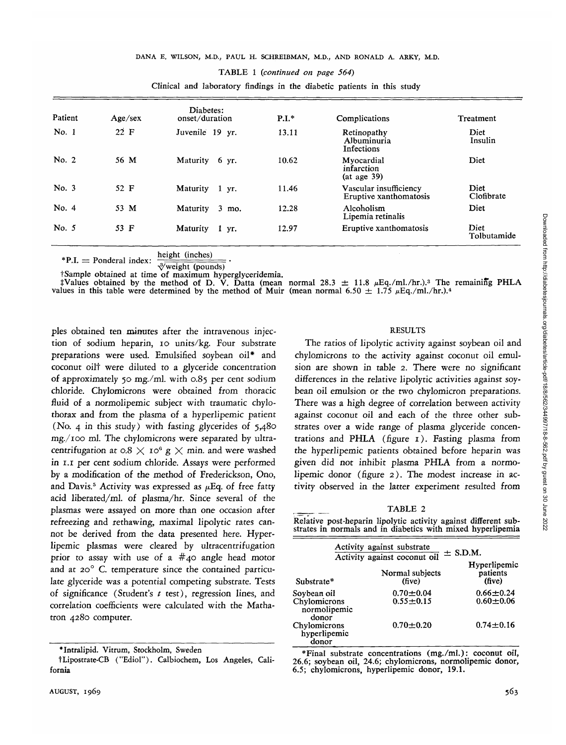|         | Clinical and laboratory findings in the diabetic patients in this study |                                   |         |                                                    |                     |  |  |  |  |
|---------|-------------------------------------------------------------------------|-----------------------------------|---------|----------------------------------------------------|---------------------|--|--|--|--|
| Patient | Age/sec                                                                 | Diabetes:<br>onset/duration       | $P.I.*$ | Complications                                      | Treatment           |  |  |  |  |
| No. 1   | 22 F                                                                    | Juvenile 19 yr.                   | 13.11   | Retinopathy<br>Albuminuria<br>Infections           | Diet<br>Insulin     |  |  |  |  |
| No. 2   | 56 M                                                                    | Maturity 6 yr.                    | 10.62   | Myocardial<br>infarction<br>$(at \text{ age } 39)$ | Diet                |  |  |  |  |
| No. $3$ | 52 F                                                                    | Maturity 1 yr.                    | 11.46   | Vascular insufficiency<br>Eruptive xanthomatosis   | Diet<br>Clofibrate  |  |  |  |  |
| No. 4   | 53 M                                                                    | Maturity<br>3 <sup>2</sup><br>mo. | 12.28   | Alcoholism<br>Lipemia retinalis                    | Diet                |  |  |  |  |
| No. $5$ | 53 F                                                                    | Maturity<br>$\mathbf{1}$<br>yr.   | 12.97   | Eruptive xanthomatosis                             | Diet<br>Tolbutamide |  |  |  |  |

 $*P.I. =$  Ponderal index height (inches)

 $\sqrt[3]{$ weight (pounds)

†Sample obtained at time of maximum hyperglyceridemia.<br>‡Values obtained by the method of D. V. Datta (mean normal 28.3 ± 11.8 µEq./ml./hr.).<sup>3</sup> The remaining PHLA values in this table were determined by the method of Muir (mean normal 6.50  $\pm$  1.75  $\mu$ Eq./ml./hr.).4

pies obtained ten minutes after the intravenous injection of sodium heparin, io units/kg. Four substrate preparations were used. Emulsified soybean oil\* and coconut oilt were diluted to a glyceride concentration of approximately 50 mg./ml. with 0.85 per cent sodium chloride. Chylomicrons were obtained from thoracic fluid of a normolipemic subject with traumatic chylothorax and from the plasma of a hyperlipemic patient (No. 4 in this study) with fasting glycerides of 5,480 mg./ioo ml. The chylomicrons were separated by ultracentrifugation at  $0.8 \times 10^6$  g  $\times$  min. and were washed in 1.1 per cent sodium chloride. Assays were performed by a modification of the method of Frederickson, Ono, and Davis.<sup>5</sup> Activity was expressed as  $\mu$ Eq. of free fatty acid liberated/ml, of plasma/hr. Since several of the plasmas were assayed on more than one occasion after refreezing and rethawing, maximal lipolytic rates cannot be derived from the data presented here. Hyperlipemic plasmas were cleared by ultracentrifugation prior to assay with use of a  $#_{4}$ 0 angle head motor and at 20 $^{\circ}$  C. temperature since the contained particulate glyceride was a potential competing substrate. Tests of significance (Student's *t* test), regression lines, and correlation coefficients were calculated with the Mathatron 4280 computer.

tLipostrate-CB ("Ediol"). Calbiochem, Los Angeles, California

#### RESULTS

The ratios of lipolytic activity against soybean oil and chylomicrons to the activity against coconut oil emulsion are shown in table 2. There were no significant differences in the relative lipolytic activities against soybean oil emulsion or the two chylomicron preparations. There was a high degree of correlation between activity against coconut oil and each of the three other substrates over a wide range of plasma glyceride concentrations and PHLA (figure 1). Fasting plasma from the hyperlipemic patients obtained before heparin was given did not inhibit plasma PHLA from a normolipemic donor (figure 2). The modest increase in activity observed in the latter experiment resulted from

TABLE 2

Relative post-heparin lipolytic activity against different substrates in normals and in diabetics with mixed hyperlipemia

|                                       | Activity against substrate       |                                    |
|---------------------------------------|----------------------------------|------------------------------------|
|                                       | Activity against coconut oil     | $\pm$ S.D.M.                       |
| Substrate*                            | Normal subjects<br>(five)        | Hyperlipemic<br>patients<br>(five) |
| Soybean oil                           | $0.70 \pm 0.04$<br>$0.55 + 0.15$ | $0.66 \pm 0.24$<br>$0.60 - 0.06$   |
| Chylomicrons<br>normolipemic<br>donor |                                  |                                    |
| Chylomicrons<br>hyperlipemic<br>donor | $0.70 \pm 0.20$                  | $0.74 \pm 0.16$                    |
|                                       |                                  |                                    |

\*Final substrate concentrations (mg./ml.): coconut oil, 26.6; soybean oil, 24.6; chylomicrons, normolipemic donor, 6.5; chylomicrons, hyperlipemic donor, 19.1.

<sup>\*</sup>Intralipid. Vitrum, Stockholm, Sweden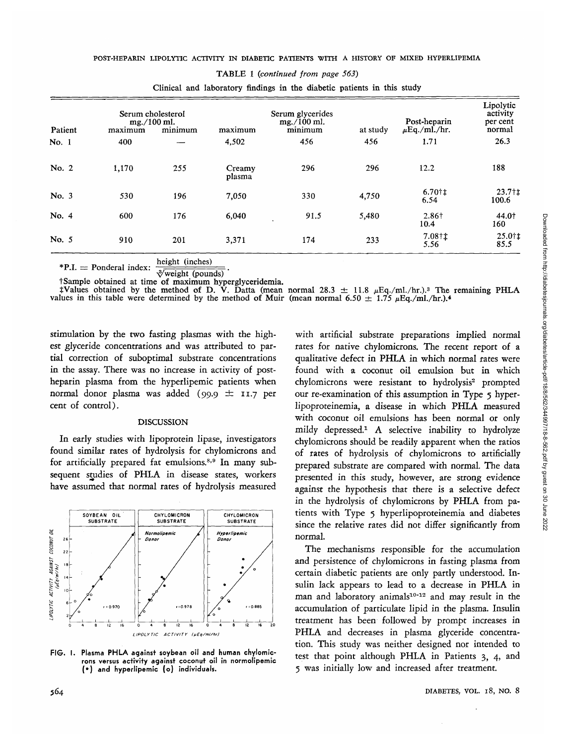#### POST-HEPARIN LIPOLYTIC ACTIVITY IN DIABETIC PATIENTS WITH A HISTORY OF MIXED HYPERLIPEMIA

|         |                                                        |     |                                                         |      |          |                                   | Lipolytic                      |
|---------|--------------------------------------------------------|-----|---------------------------------------------------------|------|----------|-----------------------------------|--------------------------------|
| Patient | Serum cholesterol<br>mg./100 ml.<br>minimum<br>maximum |     | Serum glycerides<br>$mg./100$ ml.<br>maximum<br>minimum |      | at study | Post-heparin<br>$\mu$ Eq./ml./hr. | activity<br>per cent<br>normal |
| No. 1   | 400                                                    |     | 4,502                                                   | 456  | 456      | 1.71                              | 26.3                           |
| No. 2   | 1,170                                                  | 255 | Creamy<br>plasma                                        | 296  | 296      | 12.2                              | 188                            |
| No. 3   | 530                                                    | 196 | 7,050                                                   | 330  | 4,750    | 6.70†‡<br>6.54                    | 23.7 <sub>†</sub><br>100.6     |
| No. 4   | 600                                                    | 176 | 6,040                                                   | 91.5 | 5,480    | 2.86+<br>10.4                     | 44.0†<br>160                   |
| No. 5   | 910                                                    | 201 | 3,371                                                   | 174  | 233      | $7.08 \, \text{t}$<br>5.56        | $25.0$ †‡<br>85.5              |

TABLE 1 *(continued from page 563)*

Clinical and laboratory findings in the diabetic patients in this study

height (inches)

 $*P.I. = Ponderal index$  $\sqrt[3]{$ weight (pounds)

<sup>†</sup>Sample obtained at time of maximum hyperglyceridemia.<br>
<sup>†</sup>Values obtained by the method of D. V. Datta (mean normal 28.3  $\pm$  11.8  $\mu$ Eq./ml./hr.).<sup>3</sup> The remaining PHLA values in this table were determined by the met

stimulation by the two fasting plasmas with the highest glyceride concentrations and was attributed to partial correction of suboptimal substrate concentrations in the assay. There was no increase in activity of postheparin plasma from the hyperlipemic patients when normal donor plasma was added (99.9  $\pm$  11.7 per cent of control).

#### DISCUSSION

In early studies with lipoprotein lipase, investigators found similar rates of hydrolysis for chylomicrons and for artificially prepared fat emulsions.<sup>8,9</sup> In many subsequent studies of PHLA in disease states, workers have assumed that normal rates of hydrolysis measured



**FIG. I. Plasma PHLA against soybean oil and human chylomicrons versus activity against coconut oil in normolipemic (\*) and hyperlipemic (o) individuals.**

with artificial substrate preparations implied normal rates for native chylomicrons. The recent report of a qualitative defect in PHLA in which normal rates were found with a coconut oil emulsion but in which chylomicrons were resistant to hydrolysis<sup>2</sup> prompted our re-examination of this assumption in Type 5 hyperlipoproteinemia, a disease in which PHLA measured with coconut oil emulsions has been normal or only mildy depressed.1 A selective inability to hydrolyze chylomicrons should be readily apparent when the ratios of rates of hydrolysis of chylomicrons to artificially prepared substrate are compared with normal. The data presented in this study, however, are strong evidence against the hypothesis that there is a selective defect in the hydrolysis of chylomicrons by PHLA from patients with Type 5 hyperlipoproteinemia and diabetes since the relative rates did not differ significantly from normal.

The mechanisms responsible for the accumulation and persistence of chylomicrons in fasting plasma from certain diabetic patients are only partly understood. Insulin lack appears to lead to a decrease in PHLA in man and laboratory animals<sup>10-12</sup> and may result in the accumulation of particulate lipid in the plasma. Insulin treatment has been followed by prompt increases in PHLA and decreases in plasma glyceride concentration. This study was neither designed nor intended to test that point although PHLA in Patients 3, 4, and 5 was initially low and increased after treatment.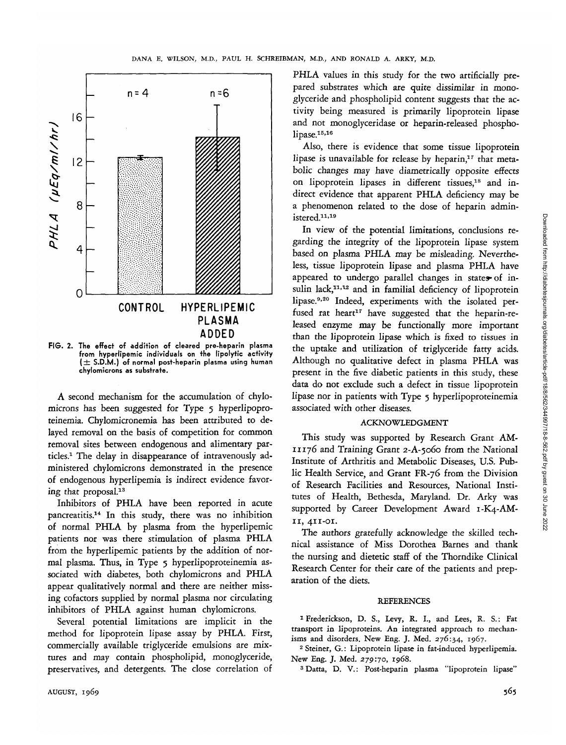

**FIG. 2. The effect of addition of cleared pre-heparin plasma from hyperlipemic individuals on the lipolytic activity ( ± S.D.M.) of normal post-heparin plasma using human chylomicrons as substrate.**

A second mechanism for the accumulation of chylomicrons has been suggested for Type 5 hyperlipoproteinemia. Chylomicronemia has been attributed to delayed removal on the basis of competition for common removal sites between endogenous and alimentary particles.1 The delay in disappearance of intravenously administered chylomicrons demonstrated in the presence of endogenous hyperlipemia is indirect evidence favoring that proposal.13

Inhibitors of PHLA have been reported in acute pancreatitis.14 In this study, there was no inhibition of normal PHLA by plasma from the hyperlipemic patients nor was there stimulation of plasma PHLA from the hyperlipemic patients by the addition of normal plasma. Thus, in Type 5 hyperlipoproteinemia associated with diabetes, both chylomicrons and PHLA appear qualitatively normal and there are neither missing cofactors supplied by normal plasma nor circulating inhibitors of PHLA against human chylomicrons.

Several potential limitations are implicit in the method for lipoprotein lipase assay by PHLA. First, commercially available triglyceride emulsions are mixtures and may contain phospholipid, monoglyceride, preservatives, and detergents. The close correlation of

PHLA values in this study for the two artificially prepared substrates which are quite dissimilar in monoglyceride and phospholipid content suggests that the activity being measured is primarily lipoprotein lipase and not monoglyceridase or heparin-released phospholipase.<sup>15,16</sup>

Also, there is evidence that some tissue lipoprotein lipase is unavailable for release by heparin,<sup>17</sup> that metabolic changes may have diametrically opposite effects on lipoprotein lipases in different tissues,<sup>18</sup> and indirect evidence that apparent PHLA deficiency may be a phenomenon related to the dose of heparin administered.11- 19

In view of the potential limitations, conclusions regarding the integrity of the lipoprotein lipase system based on plasma PHLA may be misleading. Nevertheless, tissue lipoprotein lipase and plasma PHLA have appeared to undergo parallel changes in states of insulin lack,<sup>11,12</sup> and in familial deficiency of lipoprotein lipase.<sup>9,20</sup> Indeed, experiments with the isolated perfused rat heart<sup>17</sup> have suggested that the heparin-released enzyme may be functionally more important than the lipoprotein lipase which is fixed to tissues in the uptake and utilization of triglyceride fatty acids. Although no qualitative defect in plasma PHLA was present in the five diabetic patients in this study, these data do not exclude such a defect in tissue lipoprotein lipase nor in patients with Type 5 hyperlipoproteinemia associated with other diseases.

# ACKNOWLEDGMENT

This study was supported by Research Grant AM-11176 and Training Grant 2-A-5060 from the National Institute of Arthritis and Metabolic Diseases, U.S. Public Health Service, and Grant FR-76 from the Division of Research Facilities and Resources, National Institutes of Health, Bethesda, Maryland. Dr. Arky was supported by Career Development Award 1-K4-AM-11, 411-01.

The authors gratefully acknowledge the skilled technical assistance of Miss Dorothea Barnes and thank the nursing and dietetic staff of the Thorndike Clinical Research Center for their care of the patients and preparation of the diets.

#### **REFERENCES**

1 Frederickson, D. S., Levy, R. I., and Lees, R. S.: Fat transport in lipoproteins. An integrated approach to mechanisms and disorders. New Eng. J. Med. 276:34, 1967.

<sup>2</sup> Steiner, G.: Lipoprotein lipase in fat-induced hyperlipemia. New Eng. J. Med. 279:70, 1968.

3 Datta, D. V.: Post-heparin plasma "lipoprotein lipase"